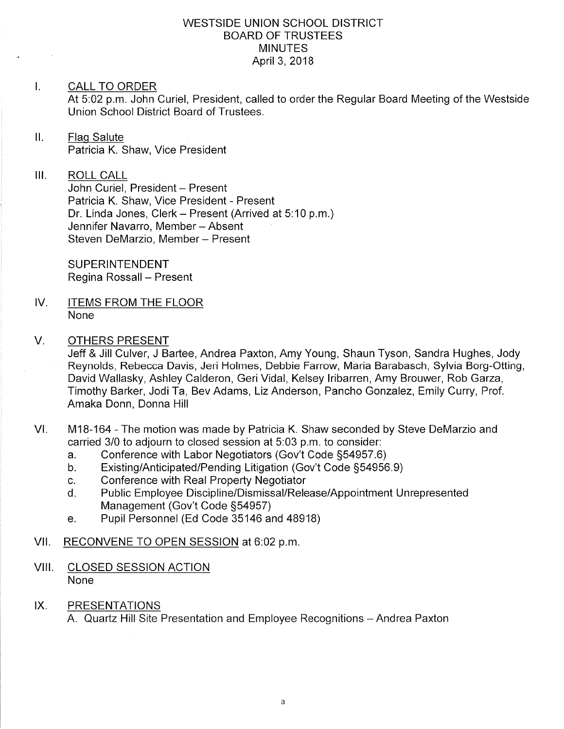### WESTSIDE UNION SCHOOL DISTRICT BOARD OF TRUSTEES MINUTES April 3, 2018

### I. CALL TO ORDER

At 5:02 p.m. John Curiel, President, called to order the Regular Board Meeting of the Westside Union School District Board of Trustees.

- $II.$ Flaq Salute Patricia K. Shaw, Vice President
- III. ROLL CALL

John Curiel, President - Present Patricia K. Shaw, Vice President - Present Dr. Linda Jones, Clerk - Present (Arrived at 5:10 p.m.) Jennifer Navarro, Member - Absent Steven DeMarzio, Member - Present

**SUPERINTENDENT** Regina Rossall - Present

- IV ITEMS FROM THE FLOOR None
- V. OTHERS PRESENT
	- Jeff & Jill Culver, J Bartee, Andrea Paxton, Amy Young, Shaun Tyson, Sandra Hughes, Jody Reynolds, Rebecca Davis, Jeri Holmes, Debbie Farrow, Maria Barabasch, Sylvia Borg-Otting, David Wallasky, Ashley Calderon, Geri Vidal, Kelsey lribarren, Amy Brouwer, Rob Garza, Timothy Barker, Jodi Ta, Bev Adams, Liz Anderson, Pancho Gonzalez, Emily Curry, Prof. Amaka Donn, Donna Hill
- VI. M18-164 The motion was made by Patricia K. Shaw seconded by Steve DeMarzio and carried 3/0 to adjourn to closed session at 5:03 p.m. to consider:
	- a. Conference with Labor Negotiators (Gov't Code §54957.6)<br>b. Existing/Anticipated/Pending Litigation (Gov't Code §54956.9)
	-
	-
	- c. Conference with Real Property Negotiator<br>d. Public Employee Discipline/Dismissal/Release/Appointment Unrepresented<br>Management (Gov't Code §54957)
	- e. Pupil Personnel (Ed Code 35146 and 48918)

### VII. RECONVENE TO OPEN SESSION at 6:02 p.m.

- VIII. CLOSED SESSION ACTION None
- IX. PRESENTATIONS

A. Quartz Hill Site Presentation and Employee Recognitions - Andrea Paxton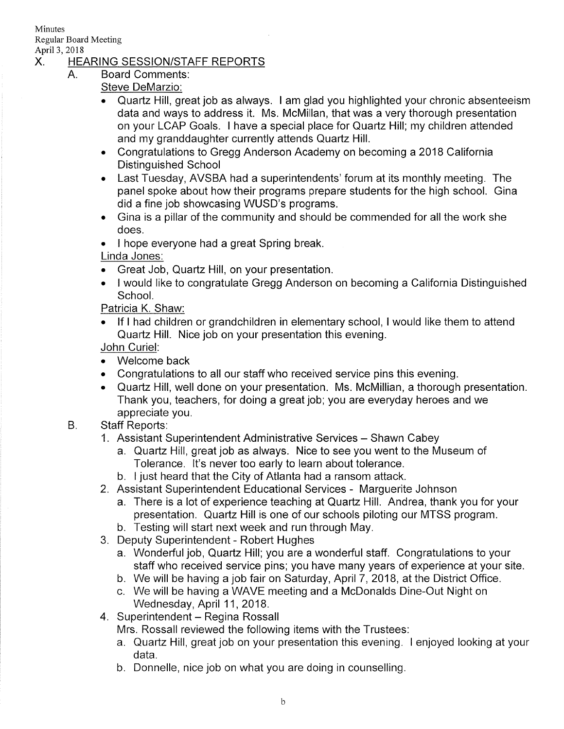Minutes Regular Board Meeting

 $A_{-}$ 

# April 3, 2018<br>X. HEARING SESSION/STAFF REPORTS

- Board Comments
	- Steve DeMarzio:
	- Quartz Hill, great job as always. I am glad you highlighted your chronic absenteeism data and ways to address it. Ms. McMillan, that was a very thorough presentation on your LCAP Goals. I have a special place for Quartz Hill; my children attended and my granddaughter currently attends Quartz Hill.
	- . Congratulations to Gregg Anderson Academy on becoming a2018 California Distinguished School
	- Last Tuesday, AVSBA had a superintendents' forum at its monthly meeting. The panel spoke about how their programs prepare students for the high school. Gina did a fine job showcasing WUSD's programs.
	- . Gina is a pillar of the community and should be commended for all the work she does.
	- I hope everyone had a great Spring break.
	- Linda Jones:
	- . Great Job, Quartz Hill, on your presentation.
	- . I would like to congratulate Gregg Anderson on becoming a California Distinguished School.

Patricia K. Shaw:

. lf I had children or grandchildren in elementary school, I would like them to attend Quartz Hill. Nice job on your presentation this evening.

John Curiel.

- . Welcome back
- . Congratulations to all our staff who received service pins this evening.
- . Quaftz Hill, well done on your presentation. Ms. McMillian, a thorough presentation. Thank you, teachers, for doing a great job; you are everyday heroes and we appreciate you.

#### B. Staff Reports:

- 1. Assistant Superintendent Administrative Services Shawn Cabey
	- a. Quartz Hill, great job as always. Nice to see you went to the Museum of Tolerance. lt's never too early to learn about tolerance. b. I just heard that the City of Atlanta had a ransom attack.
	-
- 2. Assistant Superintendent Educational Services Marguerite Johnson
	- a. There is a lot of experience teaching at Quartz Hill. Andrea, thank you for your presentation. Quartz Hill is one of our schools piloting our MTSS program.
	- b. Testing will start next week and run through May.
- 3. Deputy Superintendent Robert Hughes
	- a. Wonderful job, Quartz Hill; you are a wonderful staff. Congratulations to your staff who received service pins; you have many years of experience at your site.
	- b. We will be having a job fair on Saturday, April 7, 2018, at the District Office.
	- c. We will be having a WAVE meeting and a McDonalds Dine-Out Night on
- Wednesday, April 11, 2018.<br>4. Superintendent Regina Rossall

Mrs. Rossall reviewed the following items with the Trustees:

- a. Quartz Hill, great job on your presentation this evening. I enjoyed looking at your data.
- b. Donnelle, nice job on what you are doing in counselling.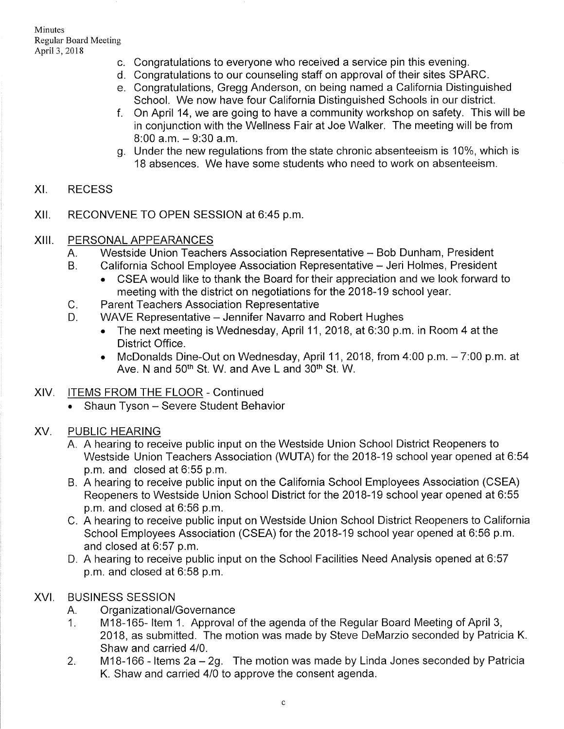- c. Congratulations to everyone who received a service pin this evening. d. Congratulations to our counseling staff on approval of their sites SPARC.
- 
- e. Congratulations, Gregg Anderson, on being named a California Distinguished
- f. On April 14, we are going to have a community workshop on safety. This will be in conjunction with the Wellness Fair at Joe Walker. The meeting will be from  $8:00$  a.m.  $-9:30$  a.m.
- g. Under the new regulations from the state chronic absenteeism is 10%, which is 1B absences. We have some students who need to work on absenteeism.

#### XI **RECESS**

xil RECONVENE TO OPEN SESSION at 6:45 p.m

#### xilt PERSONAL APPEARANCES

- A. Westside Union Teachers Association Representative Bob Dunham, President
- California School Employee Association Representative Jeri Holmes, President  $B<sub>1</sub>$ 
	- CSEA would like to thank the Board for their appreciation and we look forward to meeting with the district on negotiations for the 2018-19 school year.
- Parent Teachers Association Representative  $C_{\cdot}$
- WAVE Representative Jennifer Navarro and Robert Hughes D.
	- . The next meeting is Wednesday, April 11,2018, at 6:30 p.m. in Room 4 at the District Office.
	- McDonalds Dine-Out on Wednesday, April 11, 2018, from  $4:00$  p.m.  $-7:00$  p.m. at Ave. N and 50<sup>th</sup> St. W. and Ave L and 30<sup>th</sup> St. W.
- XlV. ITEMS FROM THE FLOOR Continued
	- . Shaun Tyson Severe Student Behavior

#### PUBLIC HEARING XV

- A. A hearing to receive public input on the Westside Union School District Reopeners to Westside Union Teachers Association (WUTA) for the 2018-19 school year opened at 6:54 p.m. and closed at 6:55 p.m.
- B. A hearing to receive public input on the California School Employees Association (CSEA) Reopeners to Westside Union School District for the 2018-19 school year opened at 6:55 p.m. and closed at 6:56 p.m.
- C. A hearing to receive public input on Westside Union School District Reopeners to California School Employees Association (CSEA) for the 2018-19 school year opened at 6:56 p.m. and closed at 6:57 p.m.
- D. A hearing to receive public input on the School Facilities Need Analysis opened at 6.57 p.m. and closed at 6:58 p.m.

# XVI. BUSINESS SESSION

- 
- A. Organizational/Governance<br>1. M18-165- Item 1. Approval of the agenda of the Regular Board Meeting of April 3, 2018, as submitted. The motion was made by Steve DeMarzio seconded by Patricia K. Shaw and carried 410.
- 2. M18-166 ltems 2a-29. The motion was made by Linda Jones seconded by Patricia K. Shaw and carried 410 to approve the consent agenda.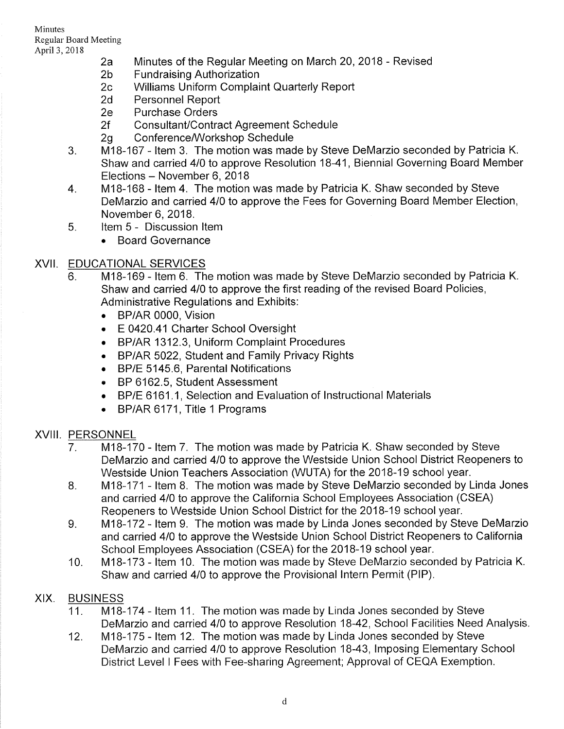- April 3, 2018<br>
2a Minutes of the Regular Meeting on March 20, 2018 Revised<br>
2b Fundraising Authorization<br>
2c Williams Uniform Complaint Quarterly Report<br>
2d Personnel Report<br>
2e Purchase Orders
	-
	-
	-
	-
	-
	-
	- 2f Consultant/Contract Agreement Schedule<br>2g Conference/Workshop Schedule<br>3. M18-167 Item 3. The motion was made by Steve DeMarzio seconded by Patricia K. Shaw and carried 410 to approve Resolution 18-41, Biennial Governing Board Member Elections – November 6, 2018<br>4. M18-168 - Item 4. The motion was made by Patricia K. Shaw seconded by Steve
	- DeMarzio and carried 410 to approve the Fees for Governing Board Member Election,
	- November 6, 2018.<br>5. ltem 5 Discussion Item
		- . Board Governance

# XVII. EDUCATIONAL SERVICES

- 6. M18-169 Item 6. The motion was made by Steve DeMarzio seconded by Patricia K. Shaw and carried 410 to approve the first reading of the revised Board Policies, Administrative Regulations and Exhibits:
	- BP/AR 0000, Vision
	- E 0420.41 Charter School Oversight
	- . BP/AR 1312.3, Uniform Complaint Procedures
	- . BP/AR 5022, Student and Family Privacy Rights
	- . BP/E 5145.6, Parental Notifications
	- . BP 6162.5, Student Assessment
	- $\;\;\;\;$  BP/E 6161.1, Selection and Evaluation of Instructional Materials
	- . BP/AR 6171, Title 1 Programs

# XVIII. PERSONNEL

- 7. M18-170 Item 7. The motion was made by Patricia K. Shaw seconded by Steve DeMarzio and carried 410 to approve the Westside Union School District Reopeners to Westside Union Teachers Association (WUTA) for the 2018-19 school year.
- M1B-171 ltem 8. The motion was made by Steve DeMarzio seconded by Linda Jones and carried 410 to approve the California School Employees Association (CSEA) Reopeners to Westside Union School District for the 2018-19 school year.  $8<sub>1</sub>$
- M18-172 ltem 9. The motion was made by Linda Jones seconded by Steve DeMarzio and carried 410 to approve the Westside Union School District Reopeners to California School Employees Association (CSEA) for the 2018-19 school year.  $9<sub>1</sub>$
- M18-173 ltem 10. The motion was made by Steve DeMarzio seconded by Patricia K. Shaw and carried 410 to approve the Provisional lntern Permit (PlP). 10

# XIX. BUSINESS

- 11. M18-174 Item 11. The motion was made by Linda Jones seconded by Steve DeMarzio and carried 410 to approve Resolution 18-42, School Facilities Need Analysis
- M1B-175 ltem 12. The motion was made by Linda Jones seconded by Steve DeMarzio and carried 4/0 to approve Resolution 18-43, Imposing Elementary School District Level I Fees with Fee-sharing Agreement; Approval of CEQA Exemption. 12